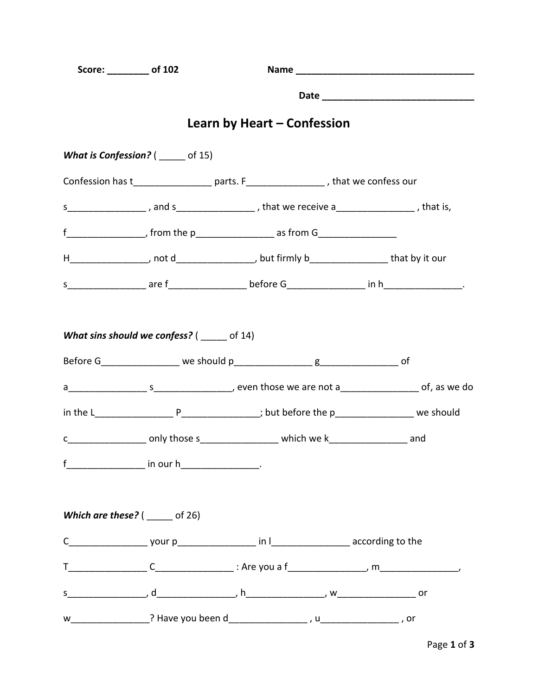| Score: ________ of 102                             |  |                                                                                                        |  |  |  |  |  |  |
|----------------------------------------------------|--|--------------------------------------------------------------------------------------------------------|--|--|--|--|--|--|
|                                                    |  |                                                                                                        |  |  |  |  |  |  |
|                                                    |  | Learn by Heart – Confession                                                                            |  |  |  |  |  |  |
| <b>What is Confession?</b> ( $\qquad$ of 15)       |  |                                                                                                        |  |  |  |  |  |  |
|                                                    |  | Confession has t____________________ parts. F____________________, that we confess our                 |  |  |  |  |  |  |
|                                                    |  | s ____________________, and s _______________________, that we receive a ___________________, that is, |  |  |  |  |  |  |
|                                                    |  | $f$ ___________________, from the p____________________ as from G_________________                     |  |  |  |  |  |  |
|                                                    |  | H___________________, not d___________________, but firmly b___________________that by it our          |  |  |  |  |  |  |
|                                                    |  |                                                                                                        |  |  |  |  |  |  |
|                                                    |  |                                                                                                        |  |  |  |  |  |  |
|                                                    |  |                                                                                                        |  |  |  |  |  |  |
|                                                    |  | c________________________only those s_______________________which we k___________________________and   |  |  |  |  |  |  |
| f____________________ in our h___________________. |  |                                                                                                        |  |  |  |  |  |  |
| Which are these? $($ ______ of 26)                 |  |                                                                                                        |  |  |  |  |  |  |
|                                                    |  |                                                                                                        |  |  |  |  |  |  |
|                                                    |  |                                                                                                        |  |  |  |  |  |  |
|                                                    |  |                                                                                                        |  |  |  |  |  |  |
|                                                    |  |                                                                                                        |  |  |  |  |  |  |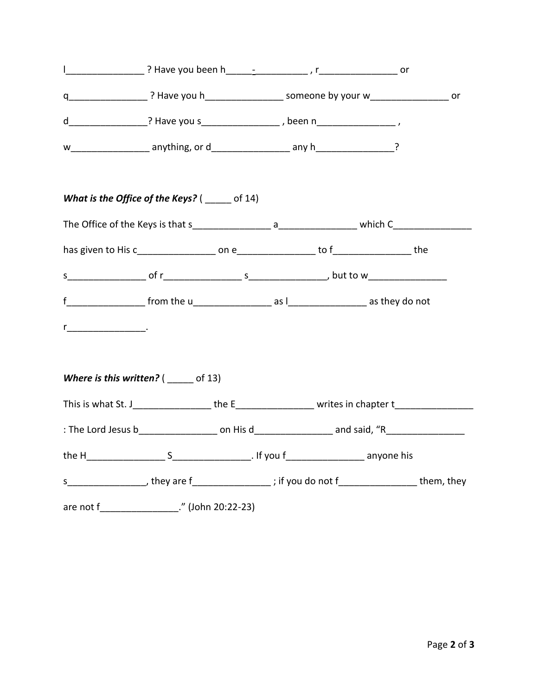| d____________________? Have you s_______________________, been n_____________________,                                                                                                                                                                                                                                |  |                                                                                                |  |  |  |
|-----------------------------------------------------------------------------------------------------------------------------------------------------------------------------------------------------------------------------------------------------------------------------------------------------------------------|--|------------------------------------------------------------------------------------------------|--|--|--|
|                                                                                                                                                                                                                                                                                                                       |  |                                                                                                |  |  |  |
| What is the Office of the Keys? $($ _____ of 14)                                                                                                                                                                                                                                                                      |  |                                                                                                |  |  |  |
|                                                                                                                                                                                                                                                                                                                       |  |                                                                                                |  |  |  |
|                                                                                                                                                                                                                                                                                                                       |  |                                                                                                |  |  |  |
|                                                                                                                                                                                                                                                                                                                       |  |                                                                                                |  |  |  |
| $f$ $f$ $\frac{1}{2}$ $\frac{1}{2}$ $\frac{1}{2}$ $\frac{1}{2}$ $\frac{1}{2}$ $\frac{1}{2}$ $\frac{1}{2}$ $\frac{1}{2}$ $\frac{1}{2}$ $\frac{1}{2}$ $\frac{1}{2}$ $\frac{1}{2}$ $\frac{1}{2}$ $\frac{1}{2}$ $\frac{1}{2}$ $\frac{1}{2}$ $\frac{1}{2}$ $\frac{1}{2}$ $\frac{1}{2}$ $\frac{1}{2}$ $\frac{1}{2}$ $\frac$ |  |                                                                                                |  |  |  |
| <u>r__________________</u> _.                                                                                                                                                                                                                                                                                         |  |                                                                                                |  |  |  |
| <b>Where is this written?</b> ( $\qquad$ of 13)                                                                                                                                                                                                                                                                       |  |                                                                                                |  |  |  |
| This is what St. J_____________________the E______________________writes in chapter t_________________________                                                                                                                                                                                                        |  |                                                                                                |  |  |  |
|                                                                                                                                                                                                                                                                                                                       |  |                                                                                                |  |  |  |
|                                                                                                                                                                                                                                                                                                                       |  |                                                                                                |  |  |  |
|                                                                                                                                                                                                                                                                                                                       |  | s___________________, they are f_________________; if you do not f__________________them, they |  |  |  |
| are not f_________________." (John 20:22-23)                                                                                                                                                                                                                                                                          |  |                                                                                                |  |  |  |